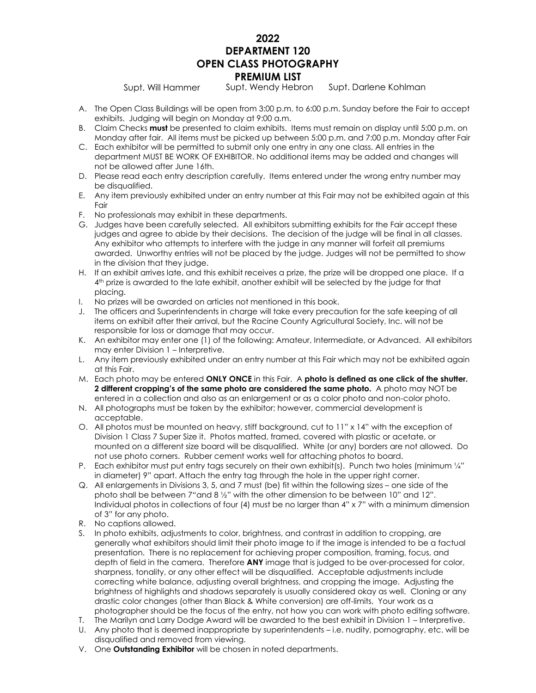# **2022 DEPARTMENT 120 OPEN CLASS PHOTOGRAPHY PREMIUM LIST**

Supt. Will Hammer Supt. Wendy Hebron Supt. Darlene Kohlman

- A. The Open Class Buildings will be open from 3:00 p.m. to 6:00 p.m. Sunday before the Fair to accept exhibits. Judging will begin on Monday at 9:00 a.m.
- B. Claim Checks **must** be presented to claim exhibits. Items must remain on display until 5:00 p.m. on Monday after fair. All items must be picked up between 5:00 p.m. and 7:00 p.m. Monday after Fair
- C. Each exhibitor will be permitted to submit only one entry in any one class. All entries in the department MUST BE WORK OF EXHIBITOR. No additional items may be added and changes will not be allowed after June 16th.
- D. Please read each entry description carefully. Items entered under the wrong entry number may be disqualified.
- E. Any item previously exhibited under an entry number at this Fair may not be exhibited again at this Fair
- F. No professionals may exhibit in these departments.
- G. Judges have been carefully selected. All exhibitors submitting exhibits for the Fair accept these judges and agree to abide by their decisions. The decision of the judge will be final in all classes. Any exhibitor who attempts to interfere with the judge in any manner will forfeit all premiums awarded. Unworthy entries will not be placed by the judge. Judges will not be permitted to show in the division that they judge.
- H. If an exhibit arrives late, and this exhibit receives a prize, the prize will be dropped one place. If a 4 th prize is awarded to the late exhibit, another exhibit will be selected by the judge for that placing.
- I. No prizes will be awarded on articles not mentioned in this book.
- J. The officers and Superintendents in charge will take every precaution for the safe keeping of all items on exhibit after their arrival, but the Racine County Agricultural Society, Inc. will not be responsible for loss or damage that may occur.
- K. An exhibitor may enter one (1) of the following: Amateur, Intermediate, or Advanced. All exhibitors may enter Division 1 – Interpretive.
- L. Any item previously exhibited under an entry number at this Fair which may not be exhibited again at this Fair.
- M. Each photo may be entered **ONLY ONCE** in this Fair. A **photo is defined as one click of the shutter. 2 different cropping's of the same photo are considered the same photo.** A photo may NOT be entered in a collection and also as an enlargement or as a color photo and non-color photo.
- N. All photographs must be taken by the exhibitor; however, commercial development is acceptable.
- O. All photos must be mounted on heavy, stiff background, cut to 11" x 14" with the exception of Division 1 Class 7 Super Size it. Photos matted, framed, covered with plastic or acetate, or mounted on a different size board will be disqualified. White (or any) borders are not allowed. Do not use photo corners. Rubber cement works well for attaching photos to board.
- P. Each exhibitor must put entry tags securely on their own exhibit(s). Punch two holes (minimum 1/4" in diameter) 9" apart. Attach the entry tag through the hole in the upper right corner.
- Q. All enlargements in Divisions 3, 5, and 7 must (be) fit within the following sizes one side of the photo shall be between 7"and 8 ½" with the other dimension to be between 10" and 12". Individual photos in collections of four (4) must be no larger than 4" x 7" with a minimum dimension of 3" for any photo.
- R. No captions allowed.
- S. In photo exhibits, adjustments to color, brightness, and contrast in addition to cropping, are generally what exhibitors should limit their photo image to if the image is intended to be a factual presentation. There is no replacement for achieving proper composition, framing, focus, and depth of field in the camera. Therefore **ANY** image that is judged to be over-processed for color, sharpness, tonality, or any other effect will be disqualified. Acceptable adjustments include correcting white balance, adjusting overall brightness, and cropping the image. Adjusting the brightness of highlights and shadows separately is usually considered okay as well. Cloning or any drastic color changes (other than Black & White conversion) are off-limits. Your work as a photographer should be the focus of the entry, not how you can work with photo editing software.
- T. The Marilyn and Larry Dodge Award will be awarded to the best exhibit in Division 1 Interpretive.
- U. Any photo that is deemed inappropriate by superintendents i.e. nudity, pornography, etc. will be disqualified and removed from viewing.
- V. One **Outstanding Exhibitor** will be chosen in noted departments.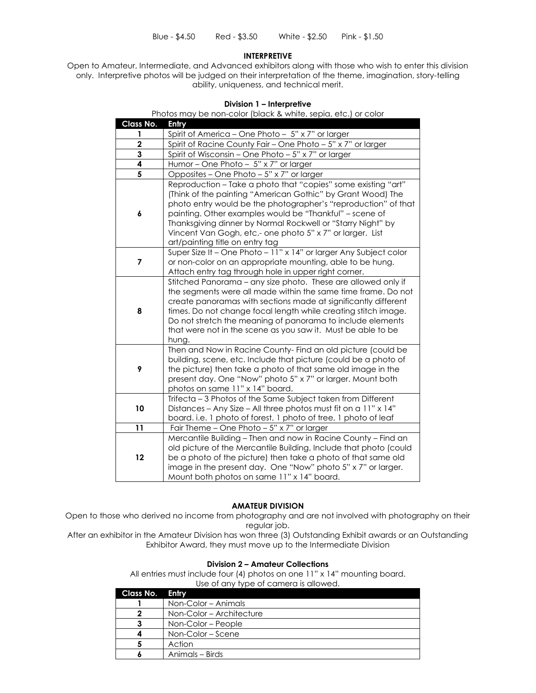#### **INTERPRETIVE**

Open to Amateur, Intermediate, and Advanced exhibitors along with those who wish to enter this division only. Interpretive photos will be judged on their interpretation of the theme, imagination, story-telling ability, uniqueness, and technical merit.

#### **Division 1 – Interpretive**

Photos may be non-color (black & white, sepia, etc.) or color

| Class No.               | Entry                                                                                                                                                                                                                                                                                                                                                                                                                    |
|-------------------------|--------------------------------------------------------------------------------------------------------------------------------------------------------------------------------------------------------------------------------------------------------------------------------------------------------------------------------------------------------------------------------------------------------------------------|
|                         | Spirit of America - One Photo - 5" x 7" or larger                                                                                                                                                                                                                                                                                                                                                                        |
| $\overline{\mathbf{c}}$ | Spirit of Racine County Fair - One Photo - 5" x 7" or larger                                                                                                                                                                                                                                                                                                                                                             |
| 3                       | Spirit of Wisconsin – One Photo – $5" \times 7"$ or larger                                                                                                                                                                                                                                                                                                                                                               |
| 4                       | Humor-One Photo- 5" x 7" or larger                                                                                                                                                                                                                                                                                                                                                                                       |
| $\overline{\mathbf{5}}$ | Opposites - One Photo - 5" x 7" or larger                                                                                                                                                                                                                                                                                                                                                                                |
| 6                       | Reproduction - Take a photo that "copies" some existing "art"<br>(Think of the painting "American Gothic" by Grant Wood) The<br>photo entry would be the photographer's "reproduction" of that<br>painting. Other examples would be "Thankful" - scene of<br>Thanksgiving dinner by Normal Rockwell or "Starry Night" by<br>Vincent Van Gogh, etc.- one photo 5" x 7" or larger. List<br>art/painting title on entry tag |
| $\overline{7}$          | Super Size It - One Photo - 11" x 14" or larger Any Subject color<br>or non-color on an appropriate mounting, able to be hung.<br>Attach entry tag through hole in upper right corner.                                                                                                                                                                                                                                   |
| 8                       | Stitched Panorama - any size photo. These are allowed only if<br>the segments were all made within the same time frame. Do not<br>create panoramas with sections made at significantly different<br>times. Do not change focal length while creating stitch image.<br>Do not stretch the meaning of panorama to include elements<br>that were not in the scene as you saw it. Must be able to be<br>hung.                |
| 9                       | Then and Now in Racine County- Find an old picture (could be<br>building, scene, etc. Include that picture (could be a photo of<br>the picture) then take a photo of that same old image in the<br>present day. One "Now" photo 5" x 7" or larger. Mount both<br>photos on same 11" x 14" board.                                                                                                                         |
| 10                      | Trifecta - 3 Photos of the Same Subject taken from Different<br>Distances - Any Size - All three photos must fit on a 11" x 14"<br>board. i.e. 1 photo of forest, 1 photo of tree, 1 photo of leaf                                                                                                                                                                                                                       |
| 11                      | Fair Theme - One Photo - 5" x 7" or larger                                                                                                                                                                                                                                                                                                                                                                               |
| 12                      | Mercantile Building - Then and now in Racine County - Find an<br>old picture of the Mercantile Building, Include that photo (could<br>be a photo of the picture) then take a photo of that same old<br>image in the present day. One "Now" photo 5" x 7" or larger.<br>Mount both photos on same 11" x 14" board.                                                                                                        |

#### **AMATEUR DIVISION**

Open to those who derived no income from photography and are not involved with photography on their regular job.

After an exhibitor in the Amateur Division has won three (3) Outstanding Exhibit awards or an Outstanding Exhibitor Award, they must move up to the Intermediate Division

#### **Division 2 – Amateur Collections**

All entries must include four (4) photos on one 11" x 14" mounting board. Use of any type of camera is allowed.

|                 | 000 01 0111 11 00 01 0011 101 01 10 11 01 1001 |
|-----------------|------------------------------------------------|
| Class No. Entry |                                                |
|                 | Non-Color – Animals                            |
|                 | Non-Color – Architecture                       |
|                 |                                                |

| NON-COIOI – AICHITECTUIE |
|--------------------------|
| Non-Color – People       |
| Non-Color – Scene        |
| Action                   |
| Animals – Birds          |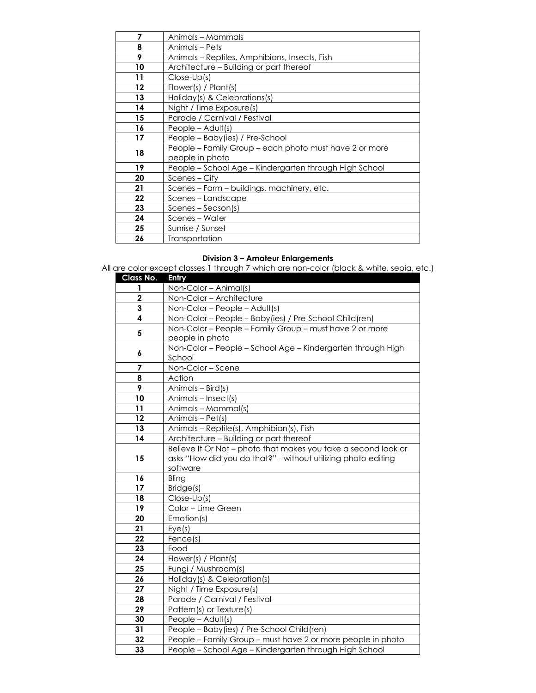| 7       | Animals – Mammals                                      |
|---------|--------------------------------------------------------|
| 8       | Animals – Pets                                         |
| 9       | Animals – Reptiles, Amphibians, Insects, Fish          |
| 10      | Architecture - Building or part thereof                |
| 11      | $Close-Up(s)$                                          |
| $12 \,$ | Flower(s) / Plant(s)                                   |
| 13      | Holiday(s) & Celebrations(s)                           |
| 14      | Night / Time Exposure(s)                               |
| 15      | Parade / Carnival / Festival                           |
| 16      | People $-$ Adult(s)                                    |
| 17      | People - Baby (ies) / Pre-School                       |
| 18      | People - Family Group - each photo must have 2 or more |
|         | people in photo                                        |
| 19      | People - School Age - Kindergarten through High School |
| 20      | Scenes – City                                          |
| 21      | Scenes – Farm – buildings, machinery, etc.             |
| 22      | Scenes-Landscape                                       |
| 23      | Scenes – Season(s)                                     |
| 24      | Scenes - Water                                         |
| 25      | Sunrise / Sunset                                       |
| 26      | Transportation                                         |

#### **Division 3 – Amateur Enlargements**

All are color except classes 1 through 7 which are non-color (black & white, sepia, etc.)

| Class No.               | Entry                                                          |
|-------------------------|----------------------------------------------------------------|
| 1                       | Non-Color - Animal(s)                                          |
| $\overline{\mathbf{2}}$ | Non-Color - Architecture                                       |
| 3                       | Non-Color - People - Adult(s)                                  |
| 4                       | Non-Color - People - Baby (ies) / Pre-School Child (ren)       |
| 5                       | Non-Color - People - Family Group - must have 2 or more        |
|                         | people in photo                                                |
| 6                       | Non-Color - People - School Age - Kindergarten through High    |
|                         | School                                                         |
| 7                       | Non-Color - Scene                                              |
| 8                       | Action                                                         |
| 9                       | Animals - Bird(s)                                              |
| 10                      | Animals - Insect(s)                                            |
| 11                      | Animals - Mammal(s)                                            |
| 12                      | Animals - Pet(s)                                               |
| 13                      | Animals - Reptile(s), Amphibian(s), Fish                       |
| 14                      | Architecture - Building or part thereof                        |
|                         | Believe It Or Not - photo that makes you take a second look or |
| 15                      | asks "How did you do that?" - without utilizing photo editing  |
|                         | software                                                       |
| 16                      | Bling                                                          |
| 17                      | Bridge(s)                                                      |
| 18                      | Close-Up(s)                                                    |
| 19                      | Color - Lime Green                                             |
| 20                      | Emotion(s)                                                     |
| 21                      | Eye(s)                                                         |
| 22                      | Fence(s)                                                       |
| 23                      | Food                                                           |
| 24                      | Flower(s) / Plant(s)                                           |
| 25                      | Fungi / Mushroom(s)                                            |
| 26                      | Holiday(s) & Celebration(s)                                    |
| 27                      | Night / Time Exposure(s)                                       |
| 28                      | Parade / Carnival / Festival                                   |
| 29                      | Pattern(s) or Texture(s)                                       |
| 30                      | People - Adult(s)                                              |
| 31                      | People - Baby(ies) / Pre-School Child(ren)                     |
| 32                      | People - Family Group - must have 2 or more people in photo    |
| 33                      | People - School Age - Kindergarten through High School         |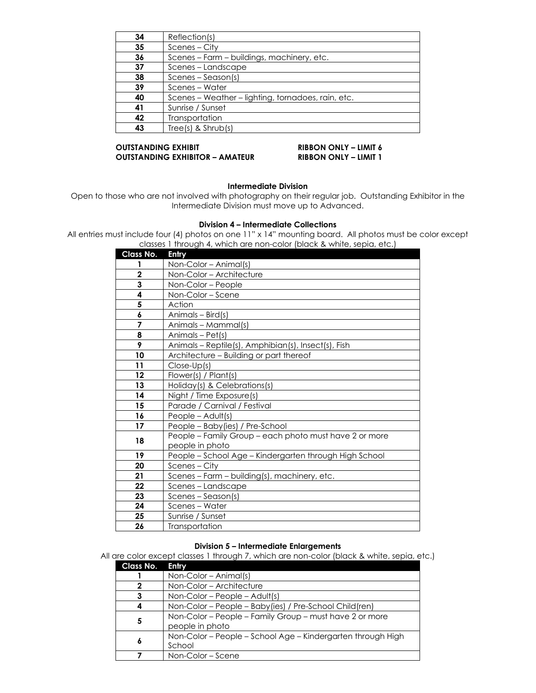| 34 | Reflection(s)                                      |
|----|----------------------------------------------------|
| 35 | Scenes - City                                      |
| 36 | Scenes - Farm - buildings, machinery, etc.         |
| 37 | Scenes - Landscape                                 |
| 38 | $S$ cenes – Season(s)                              |
| 39 | Scenes – Water                                     |
| 40 | Scenes – Weather – lighting, tornadoes, rain, etc. |
| 41 | Sunrise / Sunset                                   |
| 42 | Transportation                                     |
| 43 | $Tree(s)$ & $Shrub(s)$                             |

### **OUTSTANDING EXHIBIT RIBBON ONLY – LIMIT 6 OUTSTANDING EXHIBITOR – AMATEUR RIBBON ONLY – LIMIT 1**

# **Intermediate Division**

Open to those who are not involved with photography on their regular job. Outstanding Exhibitor in the Intermediate Division must move up to Advanced.

### **Division 4 – Intermediate Collections**

All entries must include four (4) photos on one 11" x 14" mounting board. All photos must be color except classes 1 through 4, which are non-color (black & white, sepia, etc.)

| Class No.       | Entry                                                  |
|-----------------|--------------------------------------------------------|
| 1               | Non-Color – Animal(s)                                  |
| $\overline{2}$  | Non-Color - Architecture                               |
| 3               | Non-Color - People                                     |
| 4               | Non-Color - Scene                                      |
| 5               | Action                                                 |
| 6               | Animals - Bird(s)                                      |
| 7               | Animals - Mammal(s)                                    |
| 8               | Animals - Pet(s)                                       |
| 9               | Animals - Reptile(s), Amphibian(s), Insect(s), Fish    |
| 10              | Architecture - Building or part thereof                |
| 11              | Close-Up(s)                                            |
| $12 \,$         | Flower(s) / Plant(s)                                   |
| 13              | Holiday(s) & Celebrations(s)                           |
| 14              | Night / Time Exposure(s)                               |
| 15              | Parade / Carnival / Festival                           |
| 16              | People - Adult(s)                                      |
| 17              | People - Baby (ies) / Pre-School                       |
| 18              | People - Family Group - each photo must have 2 or more |
|                 | people in photo                                        |
| 19              | People - School Age - Kindergarten through High School |
| 20              | Scenes – City                                          |
| 21              | Scenes - Farm - building(s), machinery, etc.           |
| 22              | Scenes – Landscape                                     |
| 23              | Scenes - Season(s)                                     |
| $\overline{24}$ | Scenes - Water                                         |
| 25              | Sunrise / Sunset                                       |
| 26              | Transportation                                         |

#### **Division 5 – Intermediate Enlargements**

All are color except classes 1 through 7, which are non-color (black & white, sepia, etc.)

| Class No. | Entry                                                       |
|-----------|-------------------------------------------------------------|
|           | $Non-Color - Animal(s)$                                     |
|           | Non-Color - Architecture                                    |
|           | Non-Color – People – Adult(s)                               |
|           | Non-Color - People - Baby (ies) / Pre-School Child (ren)    |
| 5         | Non-Color - People - Family Group - must have 2 or more     |
|           | people in photo                                             |
| 6         | Non-Color - People - School Age - Kindergarten through High |
|           | School                                                      |
|           | Non-Color – Scene                                           |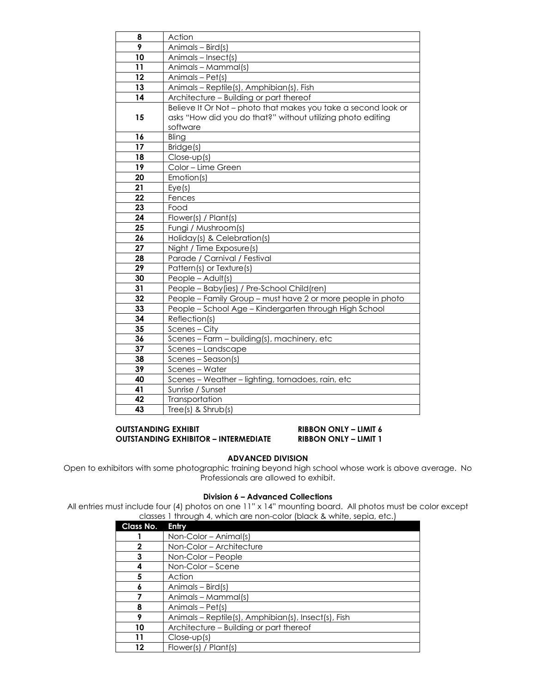| 8  | Action                                                         |
|----|----------------------------------------------------------------|
| 9  | Animals - Bird(s)                                              |
| 10 | Animals - Insect(s)                                            |
| 11 | Animals - Mammal(s)                                            |
| 12 | Animals - Pet(s)                                               |
| 13 | Animals - Reptile(s), Amphibian(s), Fish                       |
| 14 | Architecture - Building or part thereof                        |
|    | Believe It Or Not - photo that makes you take a second look or |
| 15 | asks "How did you do that?" without utilizing photo editing    |
|    | software                                                       |
| 16 | Bling                                                          |
| 17 | Bridge(s)                                                      |
| 18 | $Close-up(s)$                                                  |
| 19 | Color - Lime Green                                             |
| 20 | Emotion(s)                                                     |
| 21 | Eye(s)                                                         |
| 22 | Fences                                                         |
| 23 | Food                                                           |
| 24 | Flower(s) / Plant(s)                                           |
| 25 | Fungi / Mushroom(s)                                            |
| 26 | Holiday(s) & Celebration(s)                                    |
| 27 | Night / Time Exposure(s)                                       |
| 28 | Parade / Carnival / Festival                                   |
| 29 | Pattern(s) or Texture(s)                                       |
| 30 | People - Adult(s)                                              |
| 31 | People - Baby(ies) / Pre-School Child(ren)                     |
| 32 | People - Family Group - must have 2 or more people in photo    |
| 33 | People - School Age - Kindergarten through High School         |
| 34 | Reflection(s)                                                  |
| 35 | Scenes - City                                                  |
| 36 | Scenes - Farm - building(s), machinery, etc                    |
| 37 | Scenes-Landscape                                               |
| 38 | Scenes - Season(s)                                             |
| 39 | Scenes - Water                                                 |
| 40 | Scenes - Weather - lighting, tornadoes, rain, etc              |
| 41 | Sunrise / Sunset                                               |
| 42 | Transportation                                                 |
| 43 | $Tree(s)$ & $Shrub(s)$                                         |

#### **OUTSTANDING EXHIBIT RIBBON ONLY – LIMIT 6 OUTSTANDING EXHIBITOR – INTERMEDIATE RIBBON ONLY – LIMIT 1**

# **ADVANCED DIVISION**

Open to exhibitors with some photographic training beyond high school whose work is above average. No Professionals are allowed to exhibit.

#### **Division 6 – Advanced Collections**

All entries must include four (4) photos on one 11" x 14" mounting board. All photos must be color except classes 1 through 4, which are non-color (black & white, sepia, etc.)

| Class No. | Entry                                               |
|-----------|-----------------------------------------------------|
|           | Non-Color - Animal(s)                               |
| 2         | Non-Color - Architecture                            |
| 3         | Non-Color – People                                  |
| 4         | Non-Color – Scene                                   |
| 5         | Action                                              |
| 6         | Animals – Bird(s)                                   |
|           | Animals - Mammal(s)                                 |
| 8         | Animals - Pet(s)                                    |
| 9         | Animals – Reptile(s), Amphibian(s), Insect(s), Fish |
| 10        | Architecture - Building or part thereof             |
| 11        | $Close-up(s)$                                       |
| 12        | Flower(s) / Plant(s)                                |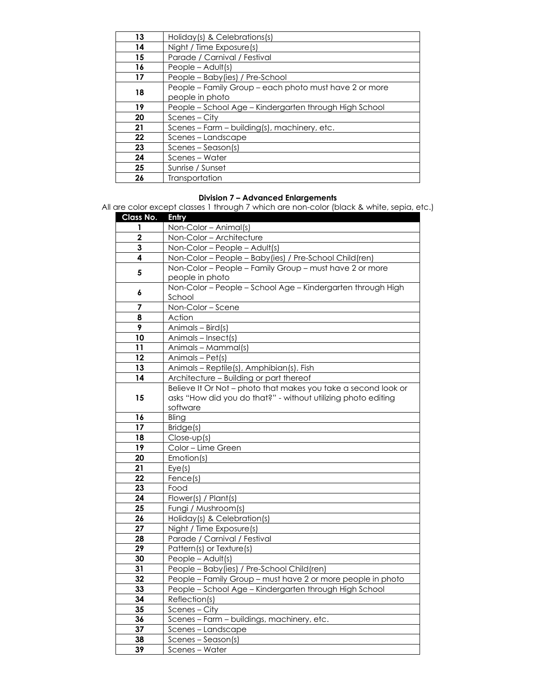| 13 | Holiday(s) & Celebrations(s)                                              |
|----|---------------------------------------------------------------------------|
| 14 | Night / Time Exposure(s)                                                  |
| 15 | Parade / Carnival / Festival                                              |
| 16 | People $-$ Adult(s)                                                       |
| 17 | People - Baby(ies) / Pre-School                                           |
| 18 | People - Family Group - each photo must have 2 or more<br>people in photo |
| 19 | People – School Age – Kindergarten through High School                    |
| 20 | Scenes – City                                                             |
| 21 | Scenes – Farm – building(s), machinery, etc.                              |
| 22 | Scenes – Landscape                                                        |
| 23 | Scenes – Season(s)                                                        |
| 24 | Scenes - Water                                                            |
| 25 | Sunrise / Sunset                                                          |
| 26 | Transportation                                                            |

#### **Division 7 – Advanced Enlargements**

All are color except classes 1 through 7 which are non-color (black & white, sepia, etc.)

| <b>Class No.</b> | <b>Entry</b>                                                   |
|------------------|----------------------------------------------------------------|
| 1                | Non-Color - Animal(s)                                          |
| $\overline{2}$   | Non-Color - Architecture                                       |
| 3                | Non-Color - People - Adult(s)                                  |
| 4                | Non-Color - People - Baby (ies) / Pre-School Child (ren)       |
| 5                | Non-Color - People - Family Group - must have 2 or more        |
|                  | people in photo                                                |
| 6                | Non-Color - People - School Age - Kindergarten through High    |
|                  | School                                                         |
| 7                | Non-Color - Scene                                              |
| 8                | Action                                                         |
| 9                | Animals - Bird(s)                                              |
| 10               | Animals - Insect(s)                                            |
| 11               | Animals - Mammal(s)                                            |
| 12               | Animals - Pet(s)                                               |
| 13               | Animals - Reptile(s), Amphibian(s), Fish                       |
| 14               | Architecture - Building or part thereof                        |
|                  | Believe It Or Not - photo that makes you take a second look or |
| 15               | asks "How did you do that?" - without utilizing photo editing  |
|                  | software                                                       |
| 16               | Bling                                                          |
| 17               | Bridge(s)                                                      |
| 18               | Close-up(s)                                                    |
| 19               | Color - Lime Green                                             |
| 20               | Emotion(s)                                                     |
| 21               | Eye(s)                                                         |
| 22               | Fence(s)                                                       |
| 23               | Food                                                           |
| 24               | Flower(s) / Plant(s)                                           |
| 25               | Fungi / Mushroom(s)                                            |
| 26               | Holiday(s) & Celebration(s)                                    |
| 27               | Night / Time Exposure(s)                                       |
| 28               | Parade / Carnival / Festival                                   |
| 29               | Pattern(s) or Texture(s)                                       |
| 30               | People - Adult(s)                                              |
| 31               | People - Baby (ies) / Pre-School Child (ren)                   |
| 32               | People - Family Group - must have 2 or more people in photo    |
| 33               | People - School Age - Kindergarten through High School         |
| 34               | Reflection(s)                                                  |
| 35               | Scenes - City                                                  |
| 36               | Scenes - Farm - buildings, machinery, etc.                     |
| 37               | Scenes - Landscape                                             |
| 38               | Scenes - Season(s)                                             |
| 39               | Scenes - Water                                                 |